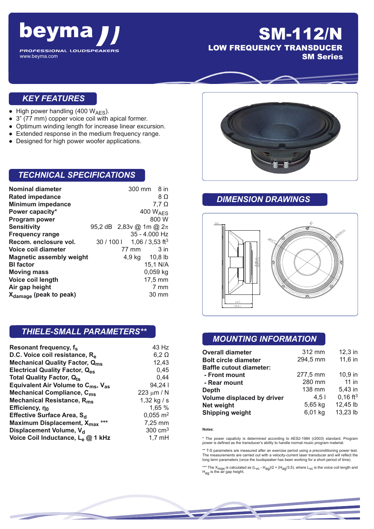

www.beyma.com

## SM-112/N LOW FREQUENCY TRANSDUCER SM Series

#### *KEY FEATURES*

- High power handling (400  $W_{\text{AES}}$ ).
- 3" (77 mm) copper voice coil with apical former.
- Optimum winding length for increase linear excursion.
- Extended response in the medium frequency range.
- Designed for high power woofer applications.

#### *TECHNICAL SPECIFICATIONS*

| <b>Nominal diameter</b>            |                             |       | 300 mm 8 in                 |
|------------------------------------|-----------------------------|-------|-----------------------------|
| <b>Rated impedance</b>             |                             |       | 8Ω                          |
| <b>Minimum impedance</b>           |                             |       | 7,7 $\Omega$                |
| Power capacity*                    |                             |       | 400 WAES                    |
| <b>Program power</b>               |                             |       | 800 W                       |
| <b>Sensitivity</b>                 | 95,2 dB 2,83v @ 1m @ $2\pi$ |       |                             |
| <b>Frequency range</b>             |                             |       | 35 - 4.000 Hz               |
| Recom. enclosure vol.              | $30/100$                    |       | 1,06 / 3,53 ft <sup>3</sup> |
| Voice coil diameter                |                             | 77 mm | $3$ in                      |
| <b>Magnetic assembly weight</b>    |                             |       | 4,9 kg 10,8 lb              |
| <b>BI</b> factor                   |                             |       | 15,1 N/A                    |
| <b>Moving mass</b>                 |                             |       | $0,059$ kg                  |
| Voice coil length                  |                             |       | $17,5 \text{ mm}$           |
| Air gap height                     |                             |       | 7 mm                        |
| X <sub>damage</sub> (peak to peak) |                             |       | 30 mm                       |

### *THIELE-SMALL PARAMETERS\*\**

| Resonant frequency, f <sub>s</sub>                         | 43 Hz                 |
|------------------------------------------------------------|-----------------------|
| D.C. Voice coil resistance, R <sub>e</sub>                 | $6,2 \Omega$          |
| <b>Mechanical Quality Factor, Qms</b>                      | 12,43                 |
| <b>Electrical Quality Factor, Q<sub>es</sub></b>           | 0,45                  |
| <b>Total Quality Factor, Qts</b>                           | 0,44                  |
| Equivalent Air Volume to $C_{\text{ms}}$ , $V_{\text{as}}$ | 94,241                |
| Mechanical Compliance, C <sub>ms</sub>                     | 223 $\mu$ m / N       |
| Mechanical Resistance, R <sub>ms</sub>                     | 1,32 kg / s           |
| Efficiency, no                                             | 1,65 %                |
| Effective Surface Area, S <sub>d</sub>                     | $0,055 \; \text{m}^2$ |
| Maximum Displacement, X <sub>max</sub><br>***              | 7,25 mm               |
| Displacement Volume, V <sub>d</sub>                        | $300 \text{ cm}^3$    |
| Voice Coil Inductance, Le @ 1 kHz                          | $1,7$ mH              |



#### *DIMENSION DRAWINGS*



### *MOUNTING INFORMATION*

| <b>Overall diameter</b>        | 312 mm           | $12,3$ in              |
|--------------------------------|------------------|------------------------|
| <b>Bolt circle diameter</b>    | 294,5 mm         | 11,6 in                |
| <b>Baffle cutout diameter:</b> |                  |                        |
| - Front mount                  | 277,5 mm         | $10.9$ in              |
| - Rear mount                   | 280 mm           | $11$ in                |
| <b>Depth</b>                   | 138 mm           | 5,43 in                |
| Volume displaced by driver     | 4.5 <sub>1</sub> | $0,16$ ft <sup>3</sup> |
| <b>Net weight</b>              | 5,65 kg          | 12,45 lb               |
| <b>Shipping weight</b>         | 6,01 kg          | 13,23 lb               |

#### **Notes**:

\* The power capaticty is determined according to AES2-1984 (r2003) standard. Program power is defined as the transducer's ability to handle normal music program material.

\*\* T-S parameters are measured after an exercise period using a preconditioning power test. The measurements are carried out with a velocity-current laser transducer and will reflect the long term parameters (once the loudspeaker has been working for a short period of time).

\*\*\* The X<sub>max</sub> is calculated as (L<sub>VC</sub> - H<sub>ag</sub>)/2 + (H<sub>ag</sub>/3,5), where L<sub>VC</sub> is the voice coil length and<br>H<sub>ag</sub> is the air gap height.